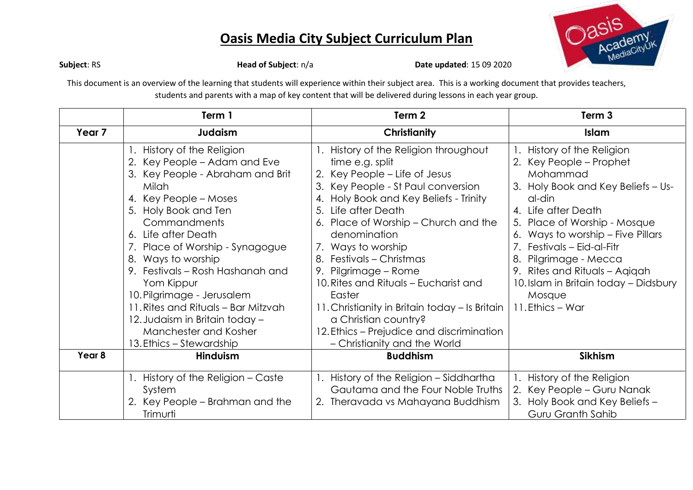

**Subject**: RS **Head of Subject**: n/a **Date updated**: 15 09 2020

This document is an overview of the learning that students will experience within their subject area. This is a working document that provides teachers, students and parents with a map of key content that will be delivered during lessons in each year group.

|                   | Term 1                                                                                                                                                                                                                                                                                                                                                                                                                                                                        | Term 2                                                                                                                                                                                                                                                                                                                                                                                                                                                                                                                                       | Term 3                                                                                                                                                                                                                                                                                                                                                                       |  |
|-------------------|-------------------------------------------------------------------------------------------------------------------------------------------------------------------------------------------------------------------------------------------------------------------------------------------------------------------------------------------------------------------------------------------------------------------------------------------------------------------------------|----------------------------------------------------------------------------------------------------------------------------------------------------------------------------------------------------------------------------------------------------------------------------------------------------------------------------------------------------------------------------------------------------------------------------------------------------------------------------------------------------------------------------------------------|------------------------------------------------------------------------------------------------------------------------------------------------------------------------------------------------------------------------------------------------------------------------------------------------------------------------------------------------------------------------------|--|
| Year <sub>7</sub> | Judaism                                                                                                                                                                                                                                                                                                                                                                                                                                                                       | <b>Christianity</b>                                                                                                                                                                                                                                                                                                                                                                                                                                                                                                                          | Islam                                                                                                                                                                                                                                                                                                                                                                        |  |
|                   | 1. History of the Religion<br>2. Key People - Adam and Eve<br>3. Key People - Abraham and Brit<br>Milah<br>4. Key People – Moses<br>5. Holy Book and Ten<br><b>Commandments</b><br>6. Life after Death<br>7. Place of Worship - Synagogue<br>8. Ways to worship<br>9. Festivals – Rosh Hashanah and<br>Yom Kippur<br>10. Pilgrimage - Jerusalem<br>11. Rites and Rituals - Bar Mitzvah<br>12. Judaism in Britain today -<br>Manchester and Kosher<br>13. Ethics – Stewardship | 1. History of the Religion throughout<br>time e.g. split<br>2. Key People – Life of Jesus<br>3. Key People - St Paul conversion<br>4. Holy Book and Key Beliefs - Trinity<br>5. Life after Death<br>6. Place of Worship – Church and the<br>denomination<br>7. Ways to worship<br>8. Festivals – Christmas<br>9. Pilgrimage – Rome<br>10. Rites and Rituals – Eucharist and<br>Easter<br>11. Christianity in Britain today - Is Britain<br>a Christian country?<br>12. Ethics - Prejudice and discrimination<br>- Christianity and the World | History of the Religion<br>2. Key People – Prophet<br>Mohammad<br>3. Holy Book and Key Beliefs - Us-<br>al-din<br>4. Life after Death<br>5. Place of Worship - Mosque<br>6. Ways to worship - Five Pillars<br>7. Festivals – Eid-al-Fitr<br>8.<br>Pilgrimage - Mecca<br>9. Rites and Rituals - Agigah<br>10. Islam in Britain today - Didsbury<br>Mosque<br>11. Ethics – War |  |
| Year 8            | Hinduism                                                                                                                                                                                                                                                                                                                                                                                                                                                                      | <b>Buddhism</b>                                                                                                                                                                                                                                                                                                                                                                                                                                                                                                                              | <b>Sikhism</b>                                                                                                                                                                                                                                                                                                                                                               |  |
|                   | 1. History of the Religion – Caste<br>System<br>2. Key People – Brahman and the<br>Trimurti                                                                                                                                                                                                                                                                                                                                                                                   | 1. History of the Religion – Siddhartha<br>Gautama and the Four Noble Truths<br>2. Theravada vs Mahayana Buddhism                                                                                                                                                                                                                                                                                                                                                                                                                            | 1. History of the Religion<br>2. Key People - Guru Nanak<br>3. Holy Book and Key Beliefs -<br>Guru Granth Sahib                                                                                                                                                                                                                                                              |  |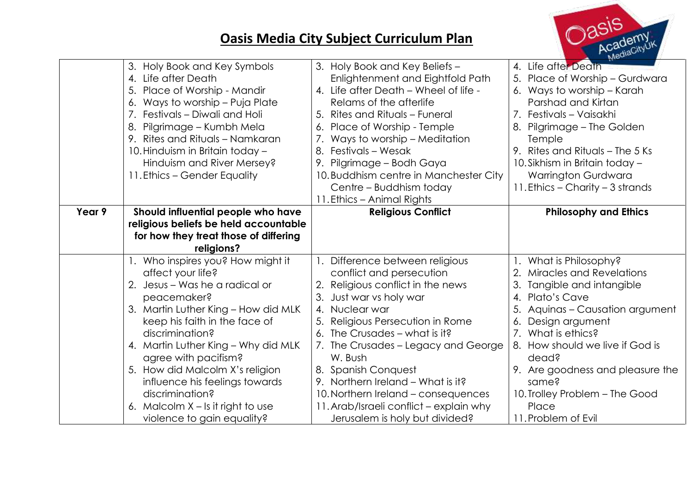

|        | 3. Holy Book and Key Symbols<br>4. Life after Death<br>5.<br>Place of Worship - Mandir<br>Ways to worship - Puja Plate<br>6.<br>7. Festivals - Diwali and Holi<br>Pilgrimage - Kumbh Mela<br>8.<br>9. Rites and Rituals - Namkaran<br>10. Hinduism in Britain today -<br>Hinduism and River Mersey?<br>11. Ethics – Gender Equality | 3. Holy Book and Key Beliefs -<br>Enlightenment and Eightfold Path<br>4. Life after Death - Wheel of life -<br>Relams of the afterlife<br>5. Rites and Rituals - Funeral<br>6. Place of Worship - Temple<br>7. Ways to worship – Meditation<br>Festivals – Wesak<br>8.<br>9. Pilgrimage – Bodh Gaya<br>10. Buddhism centre in Manchester City<br>Centre – Buddhism today<br>11. Ethics - Animal Rights | 4. Life after Death<br>5. Place of Worship - Gurdwara<br>6. Ways to worship - Karah<br>Parshad and Kirtan<br>7. Festivals - Vaisakhi<br>Pilgrimage – The Golden<br>8.<br>Temple<br>9. Rites and Rituals – The 5 Ks<br>10. Sikhism in Britain today -<br><b>Warrington Gurdwara</b><br>11. Ethics – Charity – 3 strands |
|--------|-------------------------------------------------------------------------------------------------------------------------------------------------------------------------------------------------------------------------------------------------------------------------------------------------------------------------------------|--------------------------------------------------------------------------------------------------------------------------------------------------------------------------------------------------------------------------------------------------------------------------------------------------------------------------------------------------------------------------------------------------------|------------------------------------------------------------------------------------------------------------------------------------------------------------------------------------------------------------------------------------------------------------------------------------------------------------------------|
| Year 9 | Should influential people who have                                                                                                                                                                                                                                                                                                  | <b>Religious Conflict</b>                                                                                                                                                                                                                                                                                                                                                                              | <b>Philosophy and Ethics</b>                                                                                                                                                                                                                                                                                           |
|        | religious beliefs be held accountable                                                                                                                                                                                                                                                                                               |                                                                                                                                                                                                                                                                                                                                                                                                        |                                                                                                                                                                                                                                                                                                                        |
|        | for how they treat those of differing                                                                                                                                                                                                                                                                                               |                                                                                                                                                                                                                                                                                                                                                                                                        |                                                                                                                                                                                                                                                                                                                        |
|        | religions?                                                                                                                                                                                                                                                                                                                          |                                                                                                                                                                                                                                                                                                                                                                                                        |                                                                                                                                                                                                                                                                                                                        |
|        | 1. Who inspires you? How might it                                                                                                                                                                                                                                                                                                   | 1. Difference between religious                                                                                                                                                                                                                                                                                                                                                                        | What is Philosophy?                                                                                                                                                                                                                                                                                                    |
|        | affect your life?                                                                                                                                                                                                                                                                                                                   | conflict and persecution                                                                                                                                                                                                                                                                                                                                                                               | 2.<br>Miracles and Revelations                                                                                                                                                                                                                                                                                         |
|        | Jesus – Was he a radical or<br>2.                                                                                                                                                                                                                                                                                                   | 2. Religious conflict in the news                                                                                                                                                                                                                                                                                                                                                                      | 3.<br>Tangible and intangible                                                                                                                                                                                                                                                                                          |
|        | peacemaker?                                                                                                                                                                                                                                                                                                                         | 3. Just war vs holy war                                                                                                                                                                                                                                                                                                                                                                                | Plato's Cave<br>$\overline{4}$ .                                                                                                                                                                                                                                                                                       |
|        | 3. Martin Luther King - How did MLK                                                                                                                                                                                                                                                                                                 | 4. Nuclear war                                                                                                                                                                                                                                                                                                                                                                                         | Aquinas - Causation argument                                                                                                                                                                                                                                                                                           |
|        | keep his faith in the face of                                                                                                                                                                                                                                                                                                       | Religious Persecution in Rome                                                                                                                                                                                                                                                                                                                                                                          | Design argument<br>6.                                                                                                                                                                                                                                                                                                  |
|        | discrimination?                                                                                                                                                                                                                                                                                                                     | 6. The Crusades - what is it?                                                                                                                                                                                                                                                                                                                                                                          | 7. What is ethics?                                                                                                                                                                                                                                                                                                     |
|        | 4. Martin Luther King - Why did MLK                                                                                                                                                                                                                                                                                                 | 7. The Crusades – Legacy and George                                                                                                                                                                                                                                                                                                                                                                    | 8. How should we live if God is                                                                                                                                                                                                                                                                                        |
|        | agree with pacifism?                                                                                                                                                                                                                                                                                                                | W. Bush                                                                                                                                                                                                                                                                                                                                                                                                | dead?                                                                                                                                                                                                                                                                                                                  |
|        | 5. How did Malcolm X's religion                                                                                                                                                                                                                                                                                                     | 8. Spanish Conquest                                                                                                                                                                                                                                                                                                                                                                                    | 9. Are goodness and pleasure the                                                                                                                                                                                                                                                                                       |
|        | influence his feelings towards                                                                                                                                                                                                                                                                                                      | 9. Northern Ireland - What is it?                                                                                                                                                                                                                                                                                                                                                                      | same?                                                                                                                                                                                                                                                                                                                  |
|        | discrimination?                                                                                                                                                                                                                                                                                                                     | 10. Northern Ireland – consequences                                                                                                                                                                                                                                                                                                                                                                    | 10. Trolley Problem - The Good                                                                                                                                                                                                                                                                                         |
|        | 6. Malcolm $X - Is$ it right to use                                                                                                                                                                                                                                                                                                 | 11. Arab/Israeli conflict - explain why                                                                                                                                                                                                                                                                                                                                                                | Place                                                                                                                                                                                                                                                                                                                  |
|        |                                                                                                                                                                                                                                                                                                                                     |                                                                                                                                                                                                                                                                                                                                                                                                        |                                                                                                                                                                                                                                                                                                                        |
|        | violence to gain equality?                                                                                                                                                                                                                                                                                                          | Jerusalem is holy but divided?                                                                                                                                                                                                                                                                                                                                                                         | 11. Problem of Evil                                                                                                                                                                                                                                                                                                    |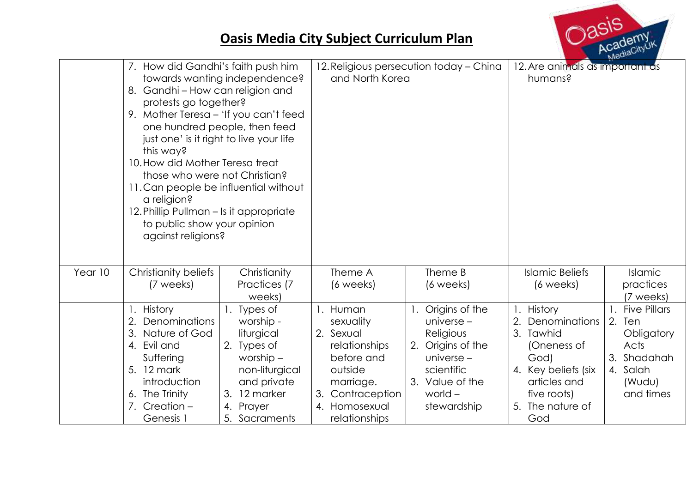

|         | 7. How did Gandhi's faith push him<br>towards wanting independence?<br>8. Gandhi - How can religion and<br>protests go together?<br>9. Mother Teresa - 'If you can't feed<br>one hundred people, then feed<br>just one' is it right to live your life<br>this way?<br>10. How did Mother Teresa treat<br>those who were not Christian?<br>11. Can people be influential without<br>a religion?<br>12. Phillip Pullman – Is it appropriate<br>to public show your opinion<br>against religions? |                                                                                                                                                        | 12. Religious persecution today - China<br>and North Korea                                                                                            |                                                                                                                                                  | Ma <sub>n</sub><br>12. Are animals as important as<br>humans?                                                                                          |                                                                                                          |
|---------|------------------------------------------------------------------------------------------------------------------------------------------------------------------------------------------------------------------------------------------------------------------------------------------------------------------------------------------------------------------------------------------------------------------------------------------------------------------------------------------------|--------------------------------------------------------------------------------------------------------------------------------------------------------|-------------------------------------------------------------------------------------------------------------------------------------------------------|--------------------------------------------------------------------------------------------------------------------------------------------------|--------------------------------------------------------------------------------------------------------------------------------------------------------|----------------------------------------------------------------------------------------------------------|
| Year 10 | Christianity beliefs<br>(7 weeks)                                                                                                                                                                                                                                                                                                                                                                                                                                                              | Christianity<br>Practices (7<br>weeks)                                                                                                                 | Theme A<br>(6 weeks)                                                                                                                                  | Theme B<br>(6 weeks)                                                                                                                             | <b>Islamic Beliefs</b><br>$(6 \text{ weeks})$                                                                                                          | Islamic<br>practices<br>(7 weeks)                                                                        |
|         | <b>History</b><br>Denominations<br>2.<br>Nature of God<br>3.<br>4. Evil and<br>Suffering<br>5. 12 mark<br>introduction<br>6. The Trinity<br>7. Creation -<br>Genesis 1                                                                                                                                                                                                                                                                                                                         | 1. Types of<br>worship -<br>liturgical<br>2. Types of<br>worship $-$<br>non-liturgical<br>and private<br>12 marker<br>3.<br>4. Prayer<br>5. Sacraments | Human<br>sexuality<br>Sexual<br>2.<br>relationships<br>before and<br>outside<br>marriage.<br>Contraception<br>3.<br>Homosexual<br>4.<br>relationships | Origins of the<br>universe $-$<br>Religious<br>Origins of the<br>2.<br>universe $-$<br>scientific<br>3. Value of the<br>world $-$<br>stewardship | 1. History<br>Denominations<br>2.<br>3. Tawhid<br>(Oneness of<br>God)<br>4. Key beliefs (six<br>articles and<br>five roots)<br>5. The nature of<br>God | <b>Five Pillars</b><br>2.<br>Ten<br>Obligatory<br>Acts<br>3. Shadahah<br>4. Salah<br>(Wudu)<br>and times |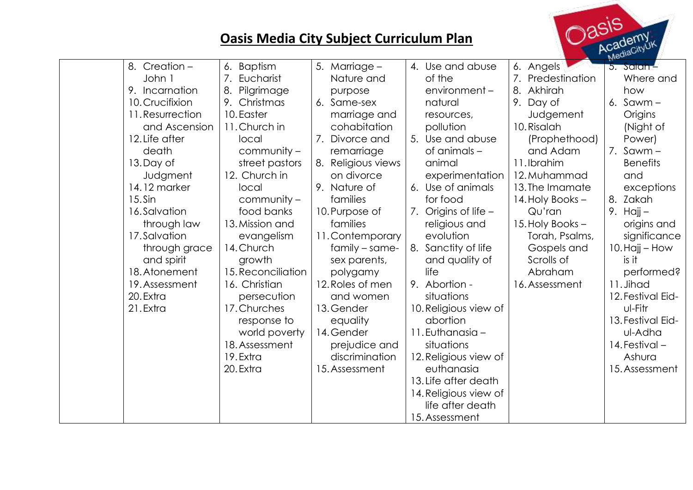$\sim$  asis

| $785 -$<br>Academy<br><b>Oasis Media City Subject Curriculum Plan</b><br>MediaCityUK                                                                                                                                                                                                                                           |                                                                                                                                                                                                                                                                                                                                                                                                              |                                                                                                                                                                                                                                                                                                                                                                                                                  |                                                                                                                                                                                                                                                                                                                                                                                                                                                                                                                                    |                                                                                                                                                                                                                                                                                                   |                                                                                                                                                                                                                                                                                                                                                                      |  |  |
|--------------------------------------------------------------------------------------------------------------------------------------------------------------------------------------------------------------------------------------------------------------------------------------------------------------------------------|--------------------------------------------------------------------------------------------------------------------------------------------------------------------------------------------------------------------------------------------------------------------------------------------------------------------------------------------------------------------------------------------------------------|------------------------------------------------------------------------------------------------------------------------------------------------------------------------------------------------------------------------------------------------------------------------------------------------------------------------------------------------------------------------------------------------------------------|------------------------------------------------------------------------------------------------------------------------------------------------------------------------------------------------------------------------------------------------------------------------------------------------------------------------------------------------------------------------------------------------------------------------------------------------------------------------------------------------------------------------------------|---------------------------------------------------------------------------------------------------------------------------------------------------------------------------------------------------------------------------------------------------------------------------------------------------|----------------------------------------------------------------------------------------------------------------------------------------------------------------------------------------------------------------------------------------------------------------------------------------------------------------------------------------------------------------------|--|--|
| 8. Creation -<br>John 1<br>9. Incarnation<br>10. Crucifixion<br>11. Resurrection<br>and Ascension<br>12. Life after<br>death<br>13. Day of<br>Judgment<br>14.12 marker<br>$15.$ Sin<br>16.Salvation<br>through law<br>17.Salvation<br>through grace<br>and spirit<br>18. Atonement<br>19. Assessment<br>20. Extra<br>21. Extra | 6. Baptism<br>7.<br>Eucharist<br>8.<br>Pilgrimage<br>9. Christmas<br>10. Easter<br>11. Church in<br>local<br>community -<br>street pastors<br>12. Church in<br>local<br>community –<br>food banks<br>13. Mission and<br>evangelism<br>14. Church<br>growth<br>15. Reconciliation<br>16. Christian<br>persecution<br>17. Churches<br>response to<br>world poverty<br>18. Assessment<br>19. Extra<br>20. Extra | 5. Marriage -<br>Nature and<br>purpose<br>6. Same-sex<br>marriage and<br>cohabitation<br>Divorce and<br>remarriage<br>8. Religious views<br>on divorce<br>9. Nature of<br>families<br>10. Purpose of<br>families<br>11. Contemporary<br>family – same-<br>sex parents,<br>polygamy<br>12. Roles of men<br>and women<br>13. Gender<br>equality<br>14. Gender<br>prejudice and<br>discrimination<br>15. Assessment | 4. Use and abuse<br>of the<br>$environment -$<br>natural<br>resources,<br>pollution<br>5. Use and abuse<br>of animals -<br>animal<br>experimentation<br>6. Use of animals<br>for food<br>7. Origins of life $-$<br>religious and<br>evolution<br>8. Sanctity of life<br>and quality of<br>life<br>9. Abortion -<br>situations<br>10. Religious view of<br>abortion<br>11. Euthanasia -<br>situations<br>12. Religious view of<br>euthanasia<br>13. Life after death<br>14. Religious view of<br>life after death<br>15. Assessment | 6. Angels<br>7. Predestination<br>8. Akhirah<br>9. Day of<br>Judgement<br>10. Risalah<br>(Prophethood)<br>and Adam<br>11.Ibrahim<br>12. Muhammad<br>13. The Imamate<br>14. Holy Books -<br>Qu'ran<br>15. Holy Books -<br>Torah, Psalms,<br>Gospels and<br>Scrolls of<br>Abraham<br>16. Assessment | 5. Salah -<br>Where and<br>how<br>6. $Sawm -$<br>Origins<br>(Night of<br>Power)<br>7. $Sawm -$<br><b>Benefits</b><br>and<br>exceptions<br>8. Zakah<br>9. Hajj $-$<br>origins and<br>significance<br>10. Hajj – How<br>is it<br>performed?<br>11. Jihad<br>12. Festival Eid-<br>ul-Fitr<br>13. Festival Eid-<br>ul-Adha<br>14. Festival -<br>Ashura<br>15. Assessment |  |  |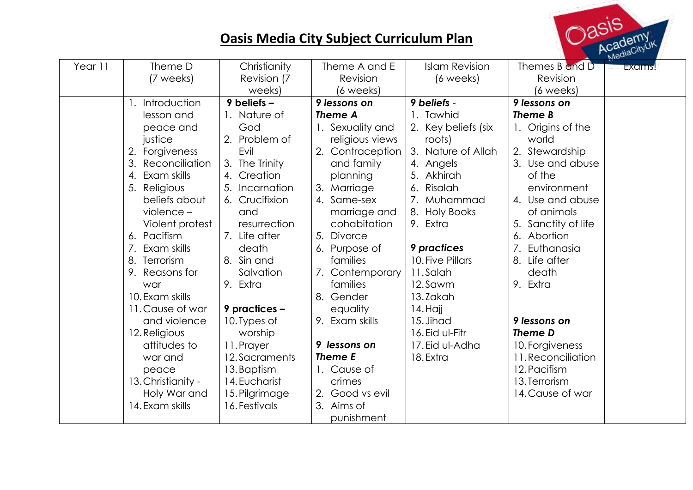

| Year 11 | Theme D              | Christianity    | Theme A and E    | <b>Islam Revision</b> | Themes B and D      | <b>Exams!</b> |
|---------|----------------------|-----------------|------------------|-----------------------|---------------------|---------------|
|         | (7 weeks)            | Revision (7     | Revision         | (6 weeks)             | Revision            |               |
|         |                      | weeks)          | (6 weeks)        |                       | (6 weeks)           |               |
|         | Introduction         | $9$ beliefs $-$ | 9 lessons on     | 9 beliefs -           | 9 lessons on        |               |
|         | lesson and           | 1. Nature of    | Theme A          | 1. Tawhid             | Theme B             |               |
|         | peace and            | God             | 1. Sexuality and | 2. Key beliefs (six   | 1. Origins of the   |               |
|         | justice              | 2. Problem of   | religious views  | roots)                | world               |               |
|         | Forgiveness<br>2.    | Evil            | 2. Contraception | 3. Nature of Allah    | 2. Stewardship      |               |
|         | Reconciliation<br>3. | 3. The Trinity  | and family       | 4. Angels             | 3. Use and abuse    |               |
|         | Exam skills<br>4.    | 4. Creation     | planning         | 5. Akhirah            | of the              |               |
|         | 5. Religious         | 5. Incarnation  | 3. Marriage      | 6. Risalah            | environment         |               |
|         | beliefs about        | 6. Crucifixion  | 4. Same-sex      | 7. Muhammad           | 4. Use and abuse    |               |
|         | $violet -$           | and             | marriage and     | 8. Holy Books         | of animals          |               |
|         | Violent protest      | resurrection    | cohabitation     | 9. Extra              | 5. Sanctity of life |               |
|         | 6. Pacifism          | 7. Life after   | 5. Divorce       |                       | 6. Abortion         |               |
|         | Exam skills<br>7.    | death           | 6. Purpose of    | <b>9</b> practices    | 7. Euthanasia       |               |
|         | 8. Terrorism         | 8. Sin and      | families         | 10. Five Pillars      | 8. Life after       |               |
|         | 9. Reasons for       | Salvation       | 7. Contemporary  | 11.Salah              | death               |               |
|         | war                  | 9. Extra        | families         | 12.Sawm               | 9. Extra            |               |
|         | 10. Exam skills      |                 | 8. Gender        | 13.Zakah              |                     |               |
|         | 11. Cause of war     | 9 practices -   | equality         | 14. Hajj              |                     |               |
|         | and violence         | 10. Types of    | 9. Exam skills   | 15. Jihad             | 9 lessons on        |               |
|         | 12. Religious        | worship         |                  | 16. Eid ul-Fitr       | Theme D             |               |
|         | attitudes to         | 11. Prayer      | 9 lessons on     | 17. Eid ul-Adha       | 10. Forgiveness     |               |
|         | war and              | 12. Sacraments  | Theme E          | 18. Extra             | 11. Reconciliation  |               |
|         | peace                | 13. Baptism     | 1. Cause of      |                       | 12. Pacifism        |               |
|         | 13. Christianity -   | 14. Eucharist   | crimes           |                       | 13. Terrorism       |               |
|         | Holy War and         | 15. Pilgrimage  | 2. Good vs evil  |                       | 14. Cause of war    |               |
|         | 14. Exam skills      | 16. Festivals   | 3. Aims of       |                       |                     |               |
|         |                      |                 | punishment       |                       |                     |               |